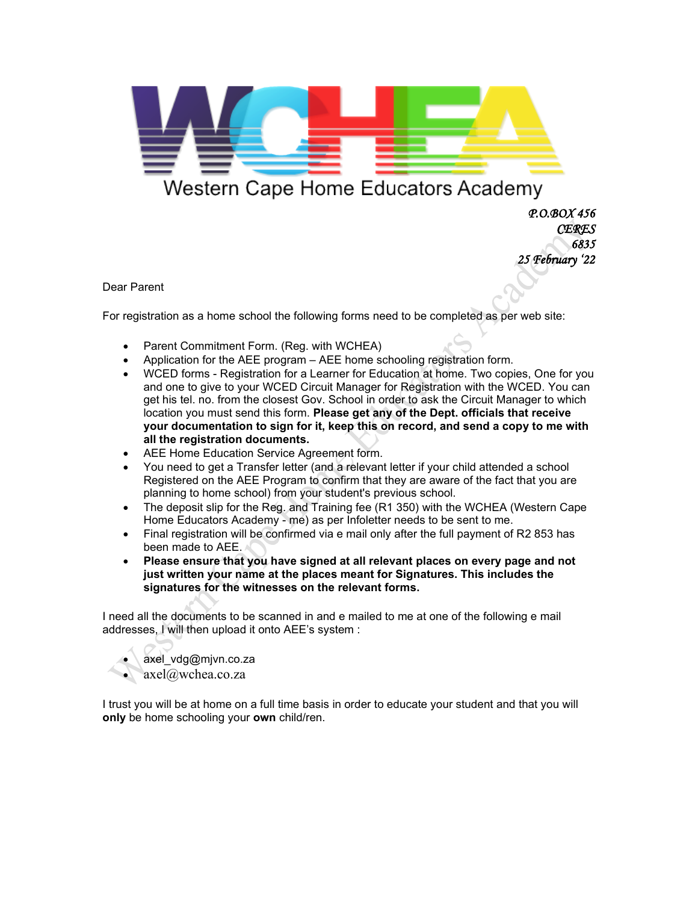

## Western Cape Home Educators Academy

 *P.O.BOX 456 CERES 6835 25 February '22* 

Dear Parent

For registration as a home school the following forms need to be completed as per web site:

- Parent Commitment Form. (Reg. with WCHEA)
- Application for the AEE program AEE home schooling registration form.
- WCED forms Registration for a Learner for Education at home. Two copies, One for you and one to give to your WCED Circuit Manager for Registration with the WCED. You can get his tel. no. from the closest Gov. School in order to ask the Circuit Manager to which location you must send this form. **Please get any of the Dept. officials that receive your documentation to sign for it, keep this on record, and send a copy to me with all the registration documents.**
- AEE Home Education Service Agreement form.
- You need to get a Transfer letter (and a relevant letter if your child attended a school Registered on the AEE Program to confirm that they are aware of the fact that you are planning to home school) from your student's previous school.
- The deposit slip for the Reg. and Training fee (R1 350) with the WCHEA (Western Cape Home Educators Academy - me) as per Infoletter needs to be sent to me.
- Final registration will be confirmed via e mail only after the full payment of R2 853 has been made to AEE.
- **Please ensure that you have signed at all relevant places on every page and not just written your name at the places meant for Signatures. This includes the signatures for the witnesses on the relevant forms.**

I need all the documents to be scanned in and e mailed to me at one of the following e mail addresses, I will then upload it onto AEE's system :

• axel\_vdg@mjvn.co.za • axel@wchea.co.za

I trust you will be at home on a full time basis in order to educate your student and that you will **only** be home schooling your **own** child/ren.